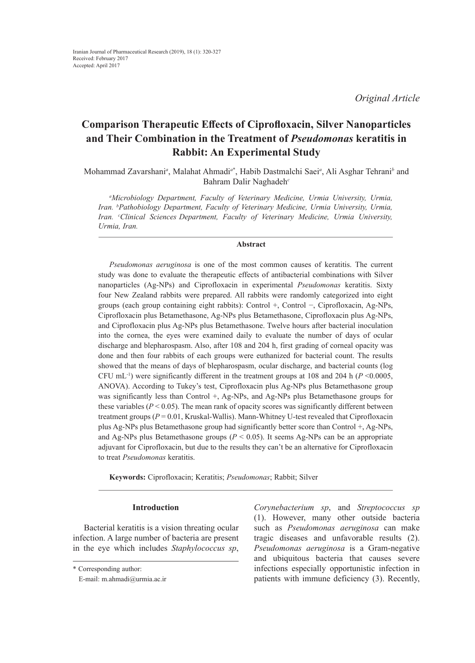*Original Article*

# **Comparison Therapeutic Effects of Ciprofloxacin, Silver Nanoparticles and Their Combination in the Treatment of** *Pseudomonas* **keratitis in Rabbit: An Experimental Study**

Mohammad Zavarshani<sup>a</sup>, Malahat Ahmadi<sup>a\*</sup>, Habib Dastmalchi Saei<sup>a</sup>, Ali Asghar Tehrani<sup>b</sup> and Bahram Dalir Naghadeh*<sup>c</sup>*

*a Microbiology Department, Faculty of Veterinary Medicine, Urmia University, Urmia, Iran. b Pathobiology Department, Faculty of Veterinary Medicine, Urmia University, Urmia, Iran. c Clinical Sciences Department, Faculty of Veterinary Medicine, Urmia University, Urmia, Iran.*

## **Abstract**

*Pseudomonas aeruginosa* is one of the most common causes of keratitis. The current study was done to evaluate the therapeutic effects of antibacterial combinations with Silver nanoparticles (Ag-NPs) and Ciprofloxacin in experimental *Pseudomonas* keratitis. Sixty four New Zealand rabbits were prepared. All rabbits were randomly categorized into eight groups (each group containing eight rabbits): Control +, Control −, Ciprofloxacin, Ag-NPs, Ciprofloxacin plus Betamethasone, Ag-NPs plus Betamethasone, Ciprofloxacin plus Ag-NPs, and Ciprofloxacin plus Ag-NPs plus Betamethasone. Twelve hours after bacterial inoculation into the cornea, the eyes were examined daily to evaluate the number of days of ocular discharge and blepharospasm. Also, after 108 and 204 h, first grading of corneal opacity was done and then four rabbits of each groups were euthanized for bacterial count. The results showed that the means of days of blepharospasm, ocular discharge, and bacterial counts (log CFU mL<sup>-1</sup>) were significantly different in the treatment groups at 108 and 204 h ( $P \le 0.0005$ , ANOVA). According to Tukey's test, Ciprofloxacin plus Ag-NPs plus Betamethasone group was significantly less than Control +, Ag-NPs, and Ag-NPs plus Betamethasone groups for these variables ( $P < 0.05$ ). The mean rank of opacity scores was significantly different between treatment groups ( $P = 0.01$ , Kruskal-Wallis). Mann-Whitney U-test revealed that Ciprofloxacin plus Ag-NPs plus Betamethasone group had significantly better score than Control +, Ag-NPs, and Ag-NPs plus Betamethasone groups ( $P < 0.05$ ). It seems Ag-NPs can be an appropriate adjuvant for Ciprofloxacin, but due to the results they can't be an alternative for Ciprofloxacin to treat *Pseudomonas* keratitis.

**Keywords:** Ciprofloxacin; Keratitis; *Pseudomonas*; Rabbit; Silver

## **Introduction**

Bacterial keratitis is a vision threating ocular infection. A large number of bacteria are present in the eye which includes *Staphylococcus sp*, *Corynebacterium sp*, and *Streptococcus sp* (1). However, many other outside bacteria such as *Pseudomonas aeruginosa* can make tragic diseases and unfavorable results (2). *Pseudomonas aeruginosa* is a Gram-negative and ubiquitous bacteria that causes severe infections especially opportunistic infection in patients with immune deficiency (3). Recently,

<sup>\*</sup> Corresponding author:

E-mail: m.ahmadi@urmia.ac.ir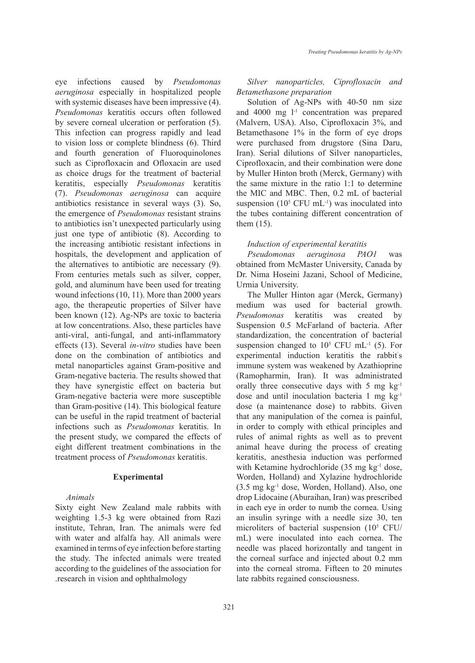eye infections caused by *Pseudomonas aeruginosa* especially in hospitalized people with systemic diseases have been impressive (4). *Pseudomonas* keratitis occurs often followed by severe corneal ulceration or perforation (5). This infection can progress rapidly and lead to vision loss or complete blindness (6). Third and fourth generation of Fluoroquinolones such as Ciprofloxacin and Ofloxacin are used as choice drugs for the treatment of bacterial keratitis, especially *Pseudomonas* keratitis (7). *Pseudomonas aeruginosa* can acquire antibiotics resistance in several ways (3). So, the emergence of *Pseudomonas* resistant strains to antibiotics isn't unexpected particularly using just one type of antibiotic (8). According to the increasing antibiotic resistant infections in hospitals, the development and application of the alternatives to antibiotic are necessary (9). From centuries metals such as silver, copper, gold, and aluminum have been used for treating wound infections (10, 11). More than 2000 years ago, the therapeutic properties of Silver have been known (12). Ag-NPs are toxic to bacteria at low concentrations. Also, these particles have anti-viral, anti-fungal, and anti-inflammatory effects (13). Several *in-vitro* studies have been done on the combination of antibiotics and metal nanoparticles against Gram-positive and Gram-negative bacteria. The results showed that they have synergistic effect on bacteria but Gram-negative bacteria were more susceptible than Gram-positive (14). This biological feature can be useful in the rapid treatment of bacterial infections such as *Pseudomonas* keratitis. In the present study, we compared the effects of eight different treatment combinations in the treatment process of *Pseudomonas* keratitis.

## **Experimental**

# *Animals*

Sixty eight New Zealand male rabbits with weighting 1.5-3 kg were obtained from Razi institute, Tehran, Iran. The animals were fed with water and alfalfa hay. All animals were examined in terms of eye infection before starting the study. The infected animals were treated according to the guidelines of the association for .research in vision and ophthalmology

*Silver nanoparticles, Ciprofloxacin and Betamethasone preparation*

Solution of Ag-NPs with 40-50 nm size and  $4000 \text{ mg } l^{-1}$  concentration was prepared (Malvern, USA). Also, Ciprofloxacin 3%, and Betamethasone 1% in the form of eye drops were purchased from drugstore (Sina Daru, Iran). Serial dilutions of Silver nanoparticles, Ciprofloxacin, and their combination were done by Muller Hinton broth (Merck, Germany) with the same mixture in the ratio 1:1 to determine the MIC and MBC. Then, 0.2 mL of bacterial suspension  $(10^5 \text{ CFU mL}^{-1})$  was inoculated into the tubes containing different concentration of them (15).

#### *Induction of experimental keratitis*

*Pseudomonas aeruginosa PAO1* was obtained from McMaster University, Canada by Dr. Nima Hoseini Jazani, School of Medicine, Urmia University.

The Muller Hinton agar (Merck, Germany) medium was used for bacterial growth. *Pseudomonas* keratitis was created by Suspension 0.5 McFarland of bacteria. After standardization, the concentration of bacterial suspension changed to  $10^5$  CFU mL<sup>-1</sup> (5). For experimental induction keratitis the rabbit' s immune system was weakened by Azathioprine (Ramopharmin, Iran). It was administrated orally three consecutive days with 5 mg kg-1 dose and until inoculation bacteria 1 mg kg-1 dose (a maintenance dose) to rabbits. Given that any manipulation of the cornea is painful, in order to comply with ethical principles and rules of animal rights as well as to prevent animal heave during the process of creating keratitis, anesthesia induction was performed with Ketamine hydrochloride (35 mg kg<sup>-1</sup> dose, Worden, Holland) and Xylazine hydrochloride (3.5 mg kg-1 dose, Worden, Holland). Also, one drop Lidocaine (Aburaihan, Iran) was prescribed in each eye in order to numb the cornea. Using an insulin syringe with a needle size 30, ten microliters of bacterial suspension (105 CFU/ mL) were inoculated into each cornea. The needle was placed horizontally and tangent in the corneal surface and injected about 0.2 mm into the corneal stroma. Fifteen to 20 minutes late rabbits regained consciousness.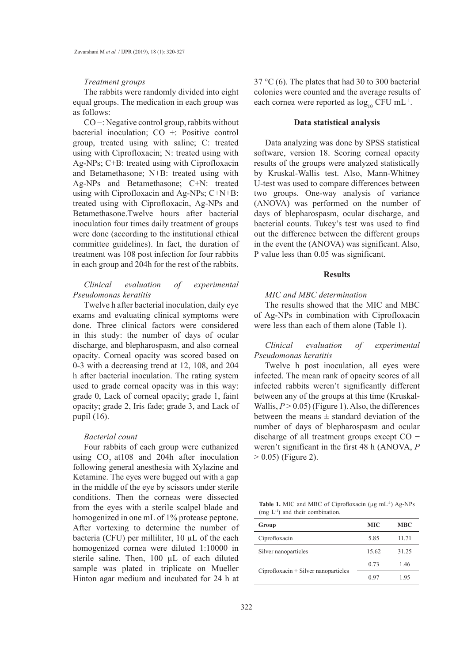#### *Treatment groups*

The rabbits were randomly divided into eight equal groups. The medication in each group was as follows:

CO −: Negative control group, rabbits without bacterial inoculation; CO +: Positive control group, treated using with saline; C: treated using with Ciprofloxacin; N: treated using with Ag-NPs; C+B: treated using with Ciprofloxacin and Betamethasone; N+B: treated using with Ag-NPs and Betamethasone; C+N: treated using with Ciprofloxacin and Ag-NPs; C+N+B: treated using with Ciprofloxacin, Ag-NPs and Betamethasone.Twelve hours after bacterial inoculation four times daily treatment of groups were done (according to the institutional ethical committee guidelines). In fact, the duration of treatment was 108 post infection for four rabbits in each group and 204h for the rest of the rabbits.

## *Clinical evaluation of experimental Pseudomonas keratitis*

Twelve h after bacterial inoculation, daily eye exams and evaluating clinical symptoms were done. Three clinical factors were considered in this study: the number of days of ocular discharge, and blepharospasm, and also corneal opacity. Corneal opacity was scored based on 0-3 with a decreasing trend at 12, 108, and 204 h after bacterial inoculation. The rating system used to grade corneal opacity was in this way: grade 0, Lack of corneal opacity; grade 1, faint opacity; grade 2, Iris fade; grade 3, and Lack of pupil (16).

# *Bacterial count*

Four rabbits of each group were euthanized using  $CO$ <sub>204h</sub> after inoculation following general anesthesia with Xylazine and Ketamine. The eyes were bugged out with a gap in the middle of the eye by scissors under sterile conditions. Then the corneas were dissected from the eyes with a sterile scalpel blade and homogenized in one mL of 1% protease peptone. After vortexing to determine the number of bacteria (CFU) per milliliter, 10 µL of the each homogenized cornea were diluted 1:10000 in sterile saline. Then, 100 µL of each diluted sample was plated in triplicate on Mueller Hinton agar medium and incubated for 24 h at

37 °C (6). The plates that had 30 to 300 bacterial colonies were counted and the average results of each cornea were reported as  $\log_{10}$  CFU mL<sup>-1</sup>.

#### **Data statistical analysis**

Data analyzing was done by SPSS statistical software, version 18. Scoring corneal opacity results of the groups were analyzed statistically by Kruskal-Wallis test. Also, Mann-Whitney U-test was used to compare differences between two groups. One-way analysis of variance (ANOVA) was performed on the number of days of blepharospasm, ocular discharge, and bacterial counts. Tukey's test was used to find out the difference between the different groups in the event the (ANOVA) was significant. Also, P value less than 0.05 was significant.

# **Results**

## *MIC and MBC determination*

The results showed that the MIC and MBC of Ag-NPs in combination with Ciprofloxacin were less than each of them alone (Table 1).

*Clinical evaluation of experimental Pseudomonas keratitis* 

Twelve h post inoculation, all eyes were infected. The mean rank of opacity scores of all infected rabbits weren't significantly different between any of the groups at this time (Kruskal-Wallis,  $P > 0.05$ ) (Figure 1). Also, the differences between the means  $\pm$  standard deviation of the number of days of blepharospasm and ocular discharge of all treatment groups except CO − weren't significant in the first 48 h (ANOVA, *P*  $> 0.05$ ) (Figure 2).

Table 1. MIC and MBC of Ciprofloxacin (µg mL<sup>-1</sup>) Ag-NPs (mg L-1) and their combination.

| Group                                   | <b>MIC</b> | <b>MBC</b> |
|-----------------------------------------|------------|------------|
| Ciprofloxacin                           | 5.85       | 11.71      |
| Silver nanoparticles                    | 15.62      | 31.25      |
|                                         | 0.73       | 1.46       |
| $Ciproflox (or + Silver)$ nanoparticles | 0.97       | 1.95       |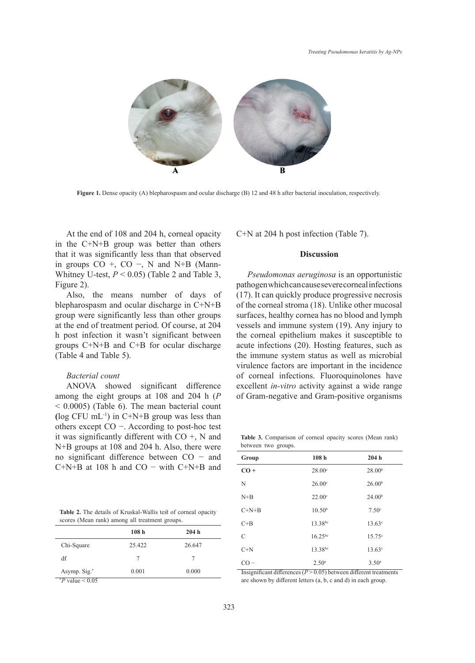

**Figure 1.** Dense opacity (A) blepharospasm and ocular discharge (B) 12 and 48 h after bacterial inoculation, respectively.

At the end of 108 and 204 h, corneal opacity in the C+N+B group was better than others that it was significantly less than that observed in groups  $CO +$ ,  $CO -$ , N and N+B (Mann-Whitney U-test,  $P < 0.05$ ) (Table 2 and Table 3, Figure 2).

Also, the means number of days of blepharospasm and ocular discharge in  $C+N+B$ group were significantly less than other groups at the end of treatment period. Of course, at 204 h post infection it wasn't significant between groups C+N+B and C+B for ocular discharge (Table 4 and Table 5). **P** value  $\frac{1}{2}$ 

# *Bacterial count*

ANOVA showed significant difference among the eight groups at 108 and 204 h (*P* < 0.0005) (Table 6). The mean bacterial count **(**log CFU mL-1) in C+N+B group was less than others except CO −. According to post-hoc test it was significantly different with CO +, N and N+B groups at 108 and 204 h. Also, there were no significant difference between CO − and C+N+B at 108 h and CO − with C+N+B and

**Table 2.** The details of Kruskal-Wallis test of corneal opacity scores (Mean rank) among all treatment groups.

|                          | 108 <sub>h</sub> | 204h   |
|--------------------------|------------------|--------|
| Chi-Square               | 25.422           | 26.647 |
| df                       | 7                |        |
| Asymp. Sig. <sup>*</sup> | 0.001            | 0.000  |
| $P$ value $\leq 0.05$    |                  |        |

 $\beta$  and 204 h, corneal opacity  $C+N$  at 204 h post infection (Table 7).

## **Discussion**

*Pseudomonas aeruginosa* is an opportunistic pathogen which can cause severe corneal infections ns number of days of (17). It can quickly produce progressive necrosis of the corneal stroma (18). Unlike other mucosal surfaces, healthy cornea has no blood and lymph  $\text{1204}$  vessels and immune system (19). Any injury to ween the corneal epithelium makes it susceptible to arge acute infections (20). Hosting features, such as the immune system status as well as microbial virulence factors are important in the incidence of corneal infections. Fluoroquinolones have excellent *in-vitro* activity against a wide range of Gram-negative and Gram-positive organisms

**Table 3.** Comparison of corneal opacity scores (Mean rank) between two groups.

| Group   | 108 <sub>h</sub>   | 204h               |
|---------|--------------------|--------------------|
| $CO +$  | 28.00°             | 28.00 <sup>b</sup> |
| N       | 26.00 <sup>c</sup> | 26.00 <sup>b</sup> |
| $N+B$   | 22.00°             | 24.00 <sup>b</sup> |
| $C+N+B$ | 10.50 <sup>b</sup> | 7.50 <sup>c</sup>  |
| $C+B$   | 13.38bc            | $13.63^{\circ}$    |
| C       | $16.25^{bc}$       | $15.75^{\circ}$    |
| $C+N$   | 13.38bc            | $13.63^{\circ}$    |
| $CO -$  | 2.50 <sup>a</sup>  | 3.50 <sup>a</sup>  |

Insignificant differences  $(P > 0.05)$  between different treatments are shown by different letters (a, b, c and d) in each group.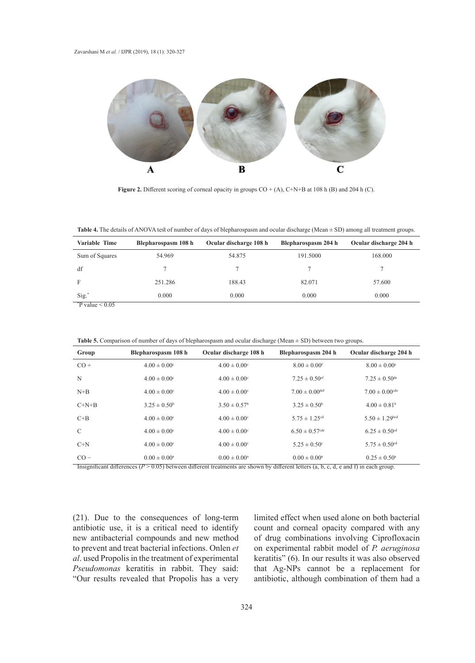

**Figure 2.** Different scoring of corneal opacity in groups CO + (A), C+N+B at 108 h (B) and 204 h (C).

**Table 4.** The details of ANOVA test of number of days of blepharospasm and ocular discharge (Mean  $\pm$  SD) among all treatment groups.

| Variable Time                                | Blepharospasm 108 h | Ocular discharge 108 h | Blepharospasm 204 h | Ocular discharge 204 h |
|----------------------------------------------|---------------------|------------------------|---------------------|------------------------|
| Sum of Squares                               | 54.969              | 54.875                 | 191.5000            | 168.000                |
| df                                           |                     |                        |                     |                        |
| F                                            | 251.286             | 188.43                 | 82.071              | 57.600                 |
| Sig.                                         | 0.000               | 0.000                  | 0.000               | 0.000                  |
| $\frac{1}{2}$<br>$\sim$ $\sim$ $\sim$ $\sim$ |                     |                        |                     |                        |

 $*$ P value  $< 0.05$ 

**Table 5.** Comparison of number of days of blepharospasm and ocular discharge (Mean ± SD) between two groups.

| Group                                                                                                                                     | Blepharospasm 108 h          | Ocular discharge 108 h       | Blepharospasm 204 h            | Ocular discharge 204 h        |
|-------------------------------------------------------------------------------------------------------------------------------------------|------------------------------|------------------------------|--------------------------------|-------------------------------|
| $CO +$                                                                                                                                    | $4.00 \pm 0.00$ <sup>c</sup> | $4.00 \pm 0.00$ <sup>c</sup> | $8.00 \pm 0.00$ <sup>f</sup>   | $8.00 \pm 0.00^{\circ}$       |
| N                                                                                                                                         | $4.00 \pm 0.00$ <sup>c</sup> | $4.00 \pm 0.00$ <sup>c</sup> | $7.25 \pm 0.50$ <sup>ef</sup>  | $7.25 \pm 0.50^{\rm de}$      |
| $N+B$                                                                                                                                     | $4.00 \pm 0.00$ <sup>c</sup> | $4.00 \pm 0.00$ <sup>c</sup> | $7.00 \pm 0.00$ <sup>def</sup> | $7.00 \pm 0.00^{\rm cde}$     |
| $C+N+B$                                                                                                                                   | $3.25 \pm 0.50^{\circ}$      | $3.50 \pm 0.57$ <sup>b</sup> | $3.25 \pm 0.50^{\rm b}$        | $4.00 \pm 0.81^b$             |
| $C+B$                                                                                                                                     | $4.00 \pm 0.00$ <sup>c</sup> | $4.00 \pm 0.00$ <sup>c</sup> | $5.75 \pm 1.25$ <sup>cd</sup>  | $5.50 \pm 1.29$ bcd           |
| $\mathcal{C}$                                                                                                                             | $4.00 \pm 0.00$ <sup>c</sup> | $4.00 \pm 0.00$ <sup>c</sup> | $6.50 \pm 0.57$ <sup>cde</sup> | $6.25 \pm 0.50$ <sup>cd</sup> |
| $C+N$                                                                                                                                     | $4.00 \pm 0.00$ <sup>c</sup> | $4.00 \pm 0.00$ <sup>c</sup> | $5.25 \pm 0.50$ °              | $5.75 \pm 0.50$ <sup>cd</sup> |
| $CO -$                                                                                                                                    | $0.00 \pm 0.00^{\text{a}}$   | $0.00 \pm 0.00^{\circ}$      | $0.00 \pm 0.00^{\circ}$        | $0.25 \pm 0.50^{\circ}$       |
| Insignificant differences ( $P > 0.05$ ) between different treatments are shown by different letters (a, b, c, d, e and f) in each group. |                              |                              |                                |                               |

(21). Due to the consequences of long-term antibiotic use, it is a critical need to identify new antibacterial compounds and new method to prevent and treat bacterial infections. Onlen *et al*. used Propolis in the treatment of experimental *Pseudomonas* keratitis in rabbit. They said: "Our results revealed that Propolis has a very

limited effect when used alone on both bacterial count and corneal opacity compared with any of drug combinations involving Ciprofloxacin on experimental rabbit model of *P. aeruginosa* keratitis" (6). In our results it was also observed that Ag-NPs cannot be a replacement for antibiotic, although combination of them had a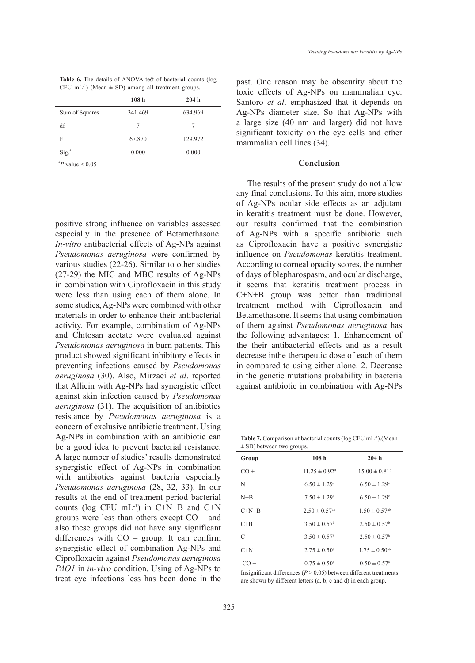| <b>Table 6.</b> The details of ANOVA test of bacterial counts (log |  |
|--------------------------------------------------------------------|--|
| CFU mL <sup>-1</sup> ) (Mean $\pm$ SD) among all treatment groups. |  |

| 108 <sub>h</sub> | 204h    |
|------------------|---------|
| 341.469          | 634.969 |
| 7                |         |
| 67.870           | 129.972 |
| 0.000            | 0.000   |
|                  |         |

 $P$  value  $< 0.05$ 

positive strong influence on variables assessed especially in the presence of Betamethasone. *In-vitro* antibacterial effects of Ag-NPs against *Pseudomonas aeruginosa* were confirmed by various studies (22-26). Similar to other studies (27-29) the MIC and MBC results of Ag-NPs in combination with Ciprofloxacin in this study were less than using each of them alone. In some studies, Ag-NPs were combined with other materials in order to enhance their antibacterial activity. For example, combination of Ag-NPs and Chitosan acetate were evaluated against *Pseudomonas aeruginosa* in burn patients. This product showed significant inhibitory effects in preventing infections caused by *Pseudomonas aeruginosa* (30). Also, Mirzaei *et al*. reported that Allicin with Ag-NPs had synergistic effect against skin infection caused by *Pseudomonas aeruginosa* (31). The acquisition of antibiotics resistance by *Pseudomonas aeruginosa* is a concern of exclusive antibiotic treatment. Using Ag-NPs in combination with an antibiotic can be a good idea to prevent bacterial resistance. A large number of studies' results demonstrated synergistic effect of Ag-NPs in combination with antibiotics against bacteria especially *Pseudomonas aeruginosa* (28, 32, 33). In our results at the end of treatment period bacterial counts (log CFU  $mL^{-1}$ ) in C+N+B and C+N groups were less than others except CO – and also these groups did not have any significant differences with CO – group. It can confirm synergistic effect of combination Ag-NPs and Ciprofloxacin against *Pseudomonas aeruginosa PAO1* in *in-vivo* condition. Using of Ag-NPs to treat eye infections less has been done in the past. One reason may be obscurity about the toxic effects of Ag-NPs on mammalian eye. Santoro *et al*. emphasized that it depends on Ag-NPs diameter size. So that Ag-NPs with a large size (40 nm and larger) did not have significant toxicity on the eye cells and other mammalian cell lines (34).

#### **Conclusion**

The results of the present study do not allow any final conclusions. To this aim, more studies of Ag-NPs ocular side effects as an adjutant in keratitis treatment must be done. However, our results confirmed that the combination of Ag-NPs with a specific antibiotic such as Ciprofloxacin have a positive synergistic influence on *Pseudomonas* keratitis treatment. According to corneal opacity scores, the number of days of blepharospasm, and ocular discharge, it seems that keratitis treatment process in C+N+B group was better than traditional treatment method with Ciprofloxacin and Betamethasone. It seems that using combination of them against *Pseudomonas aeruginosa* has the following advantages: 1. Enhancement of the their antibacterial effects and as a result decrease inthe therapeutic dose of each of them in compared to using either alone. 2. Decrease in the genetic mutations probability in bacteria against antibiotic in combination with Ag-NPs

Table 7. Comparison of bacterial counts (log CFU mL<sup>-1</sup>).(Mean  $\pm$  SD) between two groups.

| Group   | 108 <sub>h</sub>              | 204h                          |
|---------|-------------------------------|-------------------------------|
| $CO +$  | $11.25 \pm 0.92$ <sup>d</sup> | $15.00 \pm 0.81$ <sup>d</sup> |
| N       | $6.50 \pm 1.29$ <sup>c</sup>  | $6.50 \pm 1.29$ <sup>c</sup>  |
| $N+B$   | $7.50 \pm 1.29$ <sup>c</sup>  | $6.50 \pm 1.29$ <sup>c</sup>  |
| $C+N+B$ | $2.50 \pm 0.57$ <sup>ab</sup> | $1.50 \pm 0.57$ <sup>ab</sup> |
| $C+B$   | $3.50 \pm 0.57^{\circ}$       | $2.50 \pm 0.57^{\circ}$       |
| C       | $3.50 \pm 0.57^{\circ}$       | $2.50 \pm 0.57^{\circ}$       |
| $C+N$   | $2.75 \pm 0.50^{\circ}$       | $1.75 \pm 0.50$ <sup>ab</sup> |
| $CO =$  | $0.75 \pm 0.50^{\circ}$       | $0.50 \pm 0.57$ <sup>a</sup>  |

Insignificant differences  $(P > 0.05)$  between different treatments are shown by different letters (a, b, c and d) in each group.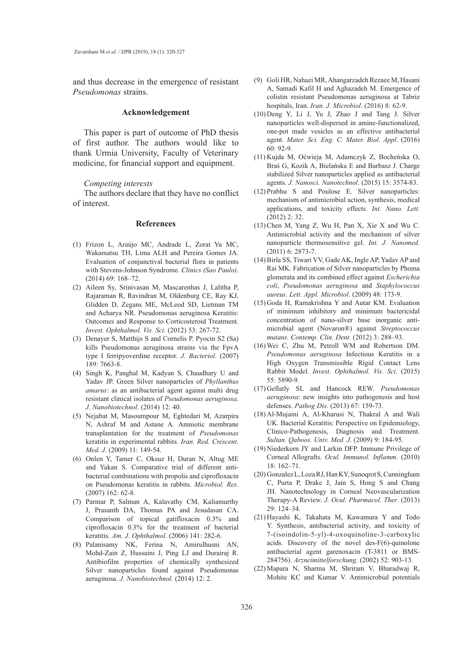and thus decrease in the emergence of resistant *Pseudomonas* strains.

#### **Acknowledgement**

This paper is part of outcome of PhD thesis of first author. The authors would like to thank Urmia University, Faculty of Veterinary medicine, for financial support and equipment.

### *Competing interests*

The authors declare that they have no conflict of interest.

#### **References**

- Frizon L, Araújo MC, Andrade L, Zorat Yu MC, (1) Wakamatsu TH, Lima ALH and Pereira Gomes JA. Evaluation of conjunctival bacterial flora in patients with Stevens-Johnson Syndrome. *Clinics (Sao Paulo)*. (2014) 69: 168–72.
- (2) Aileen Sy, Srinivasan M, Mascarenhas J, Lalitha P, Rajaraman R, Ravindran M, Oldenburg CE, Ray KJ, Glidden D, Zegans ME, McLeod SD, Lietman TM and Acharya NR. Pseudomonas aeruginosa Keratitis: Outcomes and Response to Corticosteroid Treatment*. Invest. Ophthalmol. Vis. Sci*. (2012) 53: 267-72.
- Denayer S, Matthijs S and Cornelis P. Pyocin S2 (Sa) (3) kills Pseudomonas aeruginosa strains via the FpvA type I ferripyoverdine receptor. *J. Bacteriol*. (2007) 189: 7663-8.
- (4) Singh K, Panghal M, Kadyan S, Chaudhary U and Yadav JP. Green Silver nanoparticles of *Phyllanthus amarus*: as an antibacterial agent against multi drug resistant clinical isolates of *Pseudomonas aeruginosa*. *J. Nanobiotechnol*. (2014) 12: 40.
- (5) Nejabat M, Masoumpour M, Eghtedari M, Azarpira N, Ashraf M and Astane A. Amniotic membrane transplantation for the treatment of *Pseudomonas* keratitis in experimental rabbits. *Iran. Red. Crescent. Med. J*. (2009) 11: 149-54.
- (6) Onlen Y, Tamer C, Oksuz H, Duran N, Altug ME and Yakan S. Comparative trial of different antibacterial combinations with propolis and ciprofloxacin on Pseudomonas keratitis in rabbits. *Microbiol. Res*. (2007) 162: 62-8.
- Parmar P, Salman A, Kalavathy CM, Kaliamurthy (7) J, Prasanth DA, Thomas PA and Jesudasan CA. Comparison of topical gatifloxacin 0.3% and ciprofloxacin 0.3% for the treatment of bacterial keratitis. *Am. J. Ophthalmol*. (2006) 141: 282-6.
- Palanisamy NK, Ferina N, Amirulhusni AN, (8) Mohd-Zain Z, Hussaini J, Ping LJ and Durairaj R. Antibiofilm properties of chemically synthesized Silver nanoparticles found against Pseudomonas aeruginosa. *J. Nanobiotechnol.* (2014) 12: 2.
- Goli HR, Nahaei MR, Ahangarzadeh Rezaee M, Hasani (9) A, Samadi Kafil H and Aghazadeh M. Emergence of colistin resistant Pseudomonas aeruginosa at Tabriz hospitals, Iran. *Iran. J. Microbiol*. (2016) 8: 62-9.
- $(10)$  Deng Y, Li J, Yu J, Zhao J and Tang J. Silver nanoparticles well-dispersed in amine-functionalized, one-pot made vesicles as an effective antibacterial agent. *Mater. Sci. Eng. C. Mater. Biol. Appl*. (2016) 60: 92-9.
- (11) Kujda M, Oćwieja M, Adamczyk Z, Bocheńska O, Braś G, Kozik A, Bielańska E and Barbasz J. Charge stabilized Silver nanoparticles applied as antibacterial agents. *J. Nanosci. Nanotechnol*. (2015) 15: 3574-83.
- $(12)$  Prabhu S and Poulose E. Silver nanoparticles: mechanism of antimicrobial action, synthesis, medical applications, and toxicity effects. *Int. Nano. Lett.* (2012) 2: 32.
- $(13)$  Chen M, Yang Z, Wu H, Pan X, Xie X and Wu C. Antimicrobial activity and the mechanism of silver nanoparticle thermosensitive gel. *Int. J. Nanomed.*  (2011) 6: 2873-7.
- (14) Birla SS, Tiwari VV, Gade AK, Ingle AP, Yadav AP and Rai MK. Fabrication of Silver nanoparticles by Phoma glomerata and its combined effect against *Escherichia coli*, *Pseudomonas aeruginosa* and *Staphylococcus aureus*. *Lett. Appl. Microbiol*. (2009) 48: 173-9.
- (15) Goda H, Ramakrishna Y and Autar KM. Evaluation of minimum inhibitory and minimum bactericidal concentration of nano-silver base inorganic antimicrobial agent (Novaron®) against *Streptococcus mutans. Contemp. Clin. Dent*. (2012) 3: 288–93.
- (16) Wei C, Zhu M, Petroll WM and Robertson DM. *Pseudomonas aeruginosa* Infectious Keratitis in a High Oxygen Transmissible Rigid Contact Lens Rabbit Model. *Invest. Ophthalmol. Vis. Sci*. (2015) 55: 5890-9.
- Gellatly SL and Hancock REW. *Pseudomonas*  (17) *aeruginosa*: new insights into pathogenesis and host defenses. *Pathog Dis*. (2013) 67: 159-73.
- (18) Al-Mujaini A, Al-Kharusi N, Thakral A and Wali UK. Bacterial Keratitis: Perspective on Epidemiology, Clinico-Pathogenesis, Diagnosis and Treatment. *Sultan. Qaboos. Univ. Med. J*. (2009) 9: 184-95.
- (19) Niederkorn JY and Larkin DFP. Immune Privilege of Corneal Allografts. *Ocul. Immunol. Inflamm*. (2010) 18: 162–71.
- (20) Gonzalez L, Loza RJ, Han KY, Sunoqrot S, Cunningham C, Purta P, Drake J, Jain S, Hong S and Chang JH. Nanotechnology in Corneal Neovascularization Therapy-A Review. *J. Ocul. Pharmacol. Ther*. (2013) 29: 124–34.
- (21) Hayashi K, Takahata M, Kawamura Y and Todo Y. Synthesis, antibacterial activity, and toxicity of 7-(isoindolin-5-yl)-4-oxoquinoline-3-carboxylic acids. Discovery of the novel des-F(6)-quinolone antibacterial agent garenoxacin (T-3811 or BMS-284756). *Arzneimittelforschung*. (2002) 52: 903-13.
- Mapara N, Sharma M, Shriram V, Bharadwaj R, (22)Mohite KC and Kumar V. Antimicrobial potentials